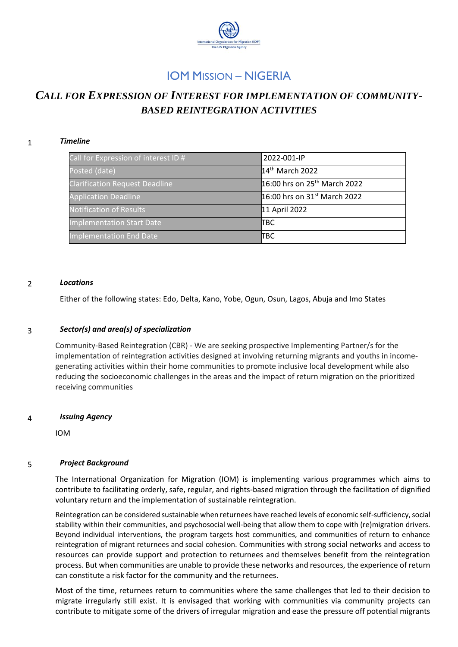

# IOM MISSION – NIGERIA

# *CALL FOR EXPRESSION OF INTEREST FOR IMPLEMENTATION OF COMMUNITY-BASED REINTEGRATION ACTIVITIES*

# 1 *Timeline*

| Call for Expression of interest ID #  | 2022-001-IP                              |
|---------------------------------------|------------------------------------------|
| Posted (date)                         | 14 <sup>th</sup> March 2022              |
| <b>Clarification Request Deadline</b> | 16:00 hrs on 25 <sup>th</sup> March 2022 |
| <b>Application Deadline</b>           | 16:00 hrs on 31 <sup>st</sup> March 2022 |
| <b>Notification of Results</b>        | 11 April 2022                            |
| Implementation Start Date             | ІТВС                                     |
| Implementation End Date               | ПВС                                      |

#### 2 *Locations*

Either of the following states: Edo, Delta, Kano, Yobe, Ogun, Osun, Lagos, Abuja and Imo States

#### 3 *Sector(s) and area(s) of specialization*

Community-Based Reintegration (CBR) - We are seeking prospective Implementing Partner/s for the implementation of reintegration activities designed at involving returning migrants and youths in incomegenerating activities within their home communities to promote inclusive local development while also reducing the socioeconomic challenges in the areas and the impact of return migration on the prioritized receiving communities

## 4 *Issuing Agency*

IOM

## 5 *Project Background*

The International Organization for Migration (IOM) is implementing various programmes which aims to contribute to facilitating orderly, safe, regular, and rights-based migration through the facilitation of dignified voluntary return and the implementation of sustainable reintegration.

Reintegration can be considered sustainable when returnees have reached levels of economic self-sufficiency, social stability within their communities, and psychosocial well-being that allow them to cope with (re)migration drivers. Beyond individual interventions, the program targets host communities, and communities of return to enhance reintegration of migrant returnees and social cohesion. Communities with strong social networks and access to resources can provide support and protection to returnees and themselves benefit from the reintegration process. But when communities are unable to provide these networks and resources, the experience of return can constitute a risk factor for the community and the returnees.

Most of the time, returnees return to communities where the same challenges that led to their decision to migrate irregularly still exist. It is envisaged that working with communities via community projects can contribute to mitigate some of the drivers of irregular migration and ease the pressure off potential migrants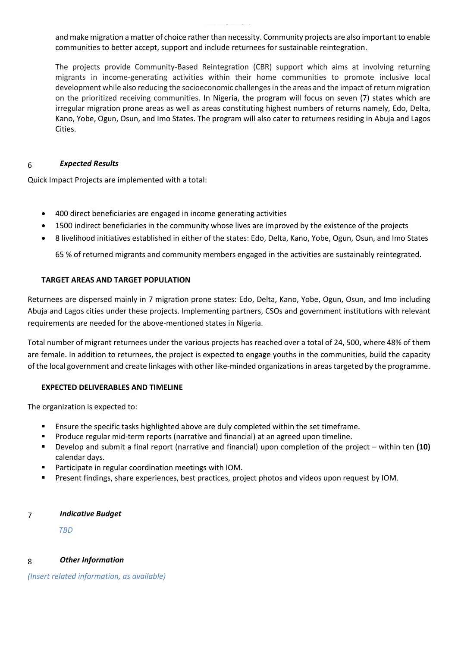and make migration a matter of choice rather than necessity. Community projects are also important to enable communities to better accept, support and include returnees for sustainable reintegration.

The projects provide Community-Based Reintegration (CBR) support which aims at involving returning migrants in income-generating activities within their home communities to promote inclusive local development while also reducing the socioeconomic challenges in the areas and the impact of return migration on the prioritized receiving communities. In Nigeria, the program will focus on seven (7) states which are irregular migration prone areas as well as areas constituting highest numbers of returns namely, Edo, Delta, Kano, Yobe, Ogun, Osun, and Imo States. The program will also cater to returnees residing in Abuja and Lagos Cities.

## 6 *Expected Results*

Quick Impact Projects are implemented with a total:

- 400 direct beneficiaries are engaged in income generating activities
- 1500 indirect beneficiaries in the community whose lives are improved by the existence of the projects
- 8 livelihood initiatives established in either of the states: Edo, Delta, Kano, Yobe, Ogun, Osun, and Imo States

65 % of returned migrants and community members engaged in the activities are sustainably reintegrated.

# **TARGET AREAS AND TARGET POPULATION**

Returnees are dispersed mainly in 7 migration prone states: Edo, Delta, Kano, Yobe, Ogun, Osun, and Imo including Abuja and Lagos cities under these projects. Implementing partners, CSOs and government institutions with relevant requirements are needed for the above-mentioned states in Nigeria.

Total number of migrant returnees under the various projects has reached over a total of 24, 500, where 48% of them are female. In addition to returnees, the project is expected to engage youths in the communities, build the capacity of the local government and create linkages with other like-minded organizations in areas targeted by the programme.

## **EXPECTED DELIVERABLES AND TIMELINE**

The organization is expected to:

- Ensure the specific tasks highlighted above are duly completed within the set timeframe.
- Produce regular mid-term reports (narrative and financial) at an agreed upon timeline.
- Develop and submit a final report (narrative and financial) upon completion of the project within ten **(10)** calendar days.
- Participate in regular coordination meetings with IOM.
- Present findings, share experiences, best practices, project photos and videos upon request by IOM.

## 7 *Indicative Budget*

*TBD*

# 8 *Other Information*

*(Insert related information, as available)*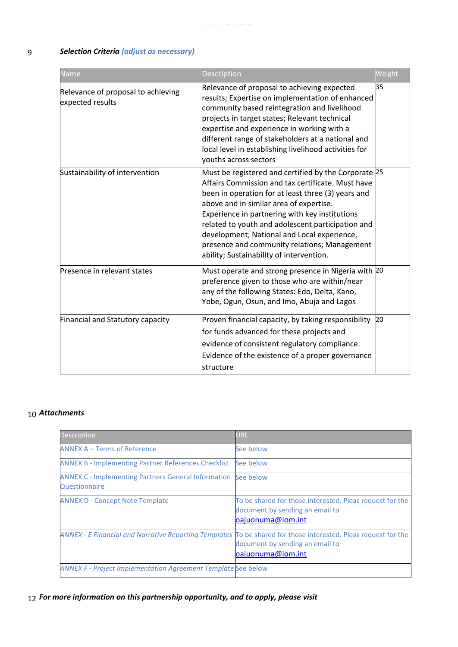# 9 *Selection Criteria (adjust as necessary)*

| <b>Name</b>                                            | Description                                                                                                                                                                                                                                                                                                                                                                                                                                                  | Weight |
|--------------------------------------------------------|--------------------------------------------------------------------------------------------------------------------------------------------------------------------------------------------------------------------------------------------------------------------------------------------------------------------------------------------------------------------------------------------------------------------------------------------------------------|--------|
| Relevance of proposal to achieving<br>expected results | Relevance of proposal to achieving expected<br>results; Expertise on implementation of enhanced<br>community based reintegration and livelihood<br>projects in target states; Relevant technical<br>expertise and experience in working with a<br>different range of stakeholders at a national and<br>local level in establishing livelihood activities for<br>vouths across sectors                                                                        | 35     |
| Sustainability of intervention                         | Must be registered and certified by the Corporate 25<br>Affairs Commission and tax certificate. Must have<br>been in operation for at least three (3) years and<br>above and in similar area of expertise.<br>Experience in partnering with key institutions<br>related to youth and adolescent participation and<br>development; National and Local experience,<br>presence and community relations; Management<br>ability; Sustainability of intervention. |        |
| Presence in relevant states                            | Must operate and strong presence in Nigeria with 20<br>preference given to those who are within/near<br>any of the following States: Edo, Delta, Kano,<br>Yobe, Ogun, Osun, and Imo, Abuja and Lagos                                                                                                                                                                                                                                                         |        |
| Financial and Statutory capacity                       | Proven financial capacity, by taking responsibility<br>for funds advanced for these projects and<br>evidence of consistent regulatory compliance.<br>Evidence of the existence of a proper governance<br>structure                                                                                                                                                                                                                                           | 20     |

# 10 *Attachments*

| <b>Description</b>                                                          | URL                                                                                                                                                                    |
|-----------------------------------------------------------------------------|------------------------------------------------------------------------------------------------------------------------------------------------------------------------|
| <b>ANNEX A - Terms of Reference</b>                                         | See below                                                                                                                                                              |
| <b>ANNEX B - Implementing Partner References Checklist</b>                  | See below                                                                                                                                                              |
| <b>ANNEX C - Implementing Partners General Information</b><br>Questionnaire | See below                                                                                                                                                              |
| <b>ANNEX D - Concept Note Template</b>                                      | To be shared for those interested. Pleas request for the<br>document by sending an email to<br>oajuonuma@iom.int                                                       |
|                                                                             | ANNEX - E Financial and Narrative Reporting Templates To be shared for those interested. Pleas request for the<br>document by sending an email to<br>oajuonuma@iom.int |
| <b>ANNEX F - Project Implementation Agreement Template See below</b>        |                                                                                                                                                                        |

# 12 *For more information on this partnership opportunity, and to apply, please visit*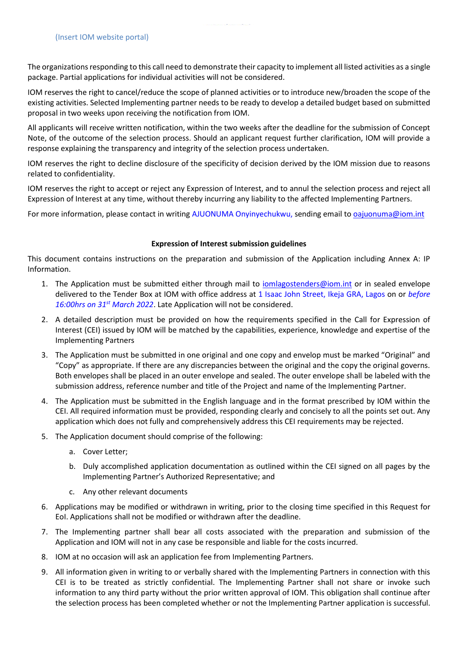The organizations responding to this call need to demonstrate their capacity to implement all listed activities as a single package. Partial applications for individual activities will not be considered.

IOM reserves the right to cancel/reduce the scope of planned activities or to introduce new/broaden the scope of the existing activities. Selected Implementing partner needs to be ready to develop a detailed budget based on submitted proposal in two weeks upon receiving the notification from IOM.

All applicants will receive written notification, within the two weeks after the deadline for the submission of Concept Note, of the outcome of the selection process. Should an applicant request further clarification, IOM will provide a response explaining the transparency and integrity of the selection process undertaken.

IOM reserves the right to decline disclosure of the specificity of decision derived by the IOM mission due to reasons related to confidentiality.

IOM reserves the right to accept or reject any Expression of Interest, and to annul the selection process and reject all Expression of Interest at any time, without thereby incurring any liability to the affected Implementing Partners.

For more information, please contact in writing AJUONUMA Onyinyechukwu, sending email to [oajuonuma@iom.int](mailto:oajuonuma@iom.int)

## **Expression of Interest submission guidelines**

This document contains instructions on the preparation and submission of the Application including Annex A: IP Information.

- 1. The Application must be submitted either through mail to [iomlagostenders@iom.int](mailto:iomlagostenders@iom.int) or in sealed envelope delivered to the Tender Box at IOM with office address at 1 Isaac John Street, Ikeja GRA, Lagos on or *before 16:00hrs on 31st March 2022*. Late Application will not be considered.
- 2. A detailed description must be provided on how the requirements specified in the Call for Expression of Interest (CEI) issued by IOM will be matched by the capabilities, experience, knowledge and expertise of the Implementing Partners
- 3. The Application must be submitted in one original and one copy and envelop must be marked "Original" and "Copy" as appropriate. If there are any discrepancies between the original and the copy the original governs. Both envelopes shall be placed in an outer envelope and sealed. The outer envelope shall be labeled with the submission address, reference number and title of the Project and name of the Implementing Partner.
- 4. The Application must be submitted in the English language and in the format prescribed by IOM within the CEI. All required information must be provided, responding clearly and concisely to all the points set out. Any application which does not fully and comprehensively address this CEI requirements may be rejected.
- 5. The Application document should comprise of the following:
	- a. Cover Letter;
	- b. Duly accomplished application documentation as outlined within the CEI signed on all pages by the Implementing Partner's Authorized Representative; and
	- c. Any other relevant documents
- 6. Applications may be modified or withdrawn in writing, prior to the closing time specified in this Request for EoI. Applications shall not be modified or withdrawn after the deadline.
- 7. The Implementing partner shall bear all costs associated with the preparation and submission of the Application and IOM will not in any case be responsible and liable for the costs incurred.
- 8. IOM at no occasion will ask an application fee from Implementing Partners.
- 9. All information given in writing to or verbally shared with the Implementing Partners in connection with this CEI is to be treated as strictly confidential. The Implementing Partner shall not share or invoke such information to any third party without the prior written approval of IOM. This obligation shall continue after the selection process has been completed whether or not the Implementing Partner application is successful.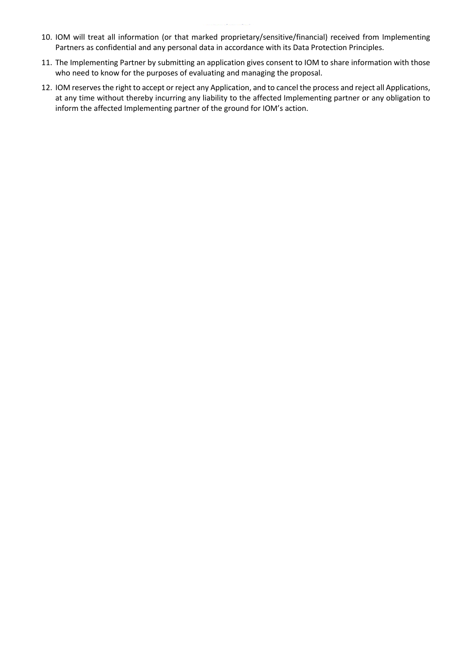- 10. IOM will treat all information (or that marked proprietary/sensitive/financial) received from Implementing Partners as confidential and any personal data in accordance with its Data Protection Principles.
- 11. The Implementing Partner by submitting an application gives consent to IOM to share information with those who need to know for the purposes of evaluating and managing the proposal.
- 12. IOM reserves the right to accept or reject any Application, and to cancel the process and reject all Applications, at any time without thereby incurring any liability to the affected Implementing partner or any obligation to inform the affected Implementing partner of the ground for IOM's action.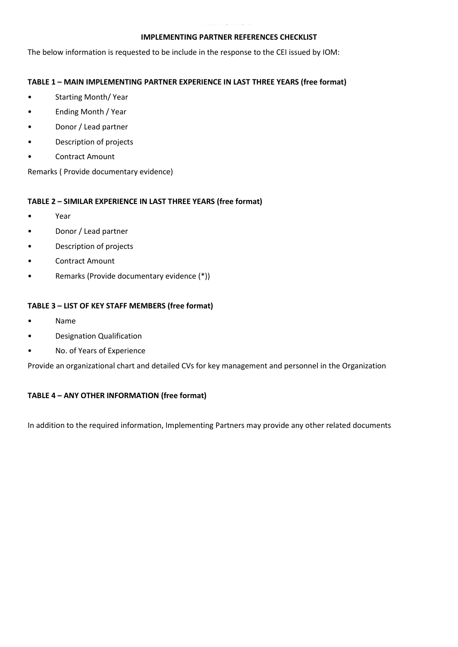## **IMPLEMENTING PARTNER REFERENCES CHECKLIST**

The below information is requested to be include in the response to the CEI issued by IOM:

# **TABLE 1 – MAIN IMPLEMENTING PARTNER EXPERIENCE IN LAST THREE YEARS (free format)**

- Starting Month/ Year
- Ending Month / Year
- Donor / Lead partner
- Description of projects
- Contract Amount

Remarks ( Provide documentary evidence)

# **TABLE 2 – SIMILAR EXPERIENCE IN LAST THREE YEARS (free format)**

- Year
- Donor / Lead partner
- Description of projects
- Contract Amount
- Remarks (Provide documentary evidence (\*))

# **TABLE 3 – LIST OF KEY STAFF MEMBERS (free format)**

- Name
- Designation Qualification
- No. of Years of Experience

Provide an organizational chart and detailed CVs for key management and personnel in the Organization

# **TABLE 4 – ANY OTHER INFORMATION (free format)**

In addition to the required information, Implementing Partners may provide any other related documents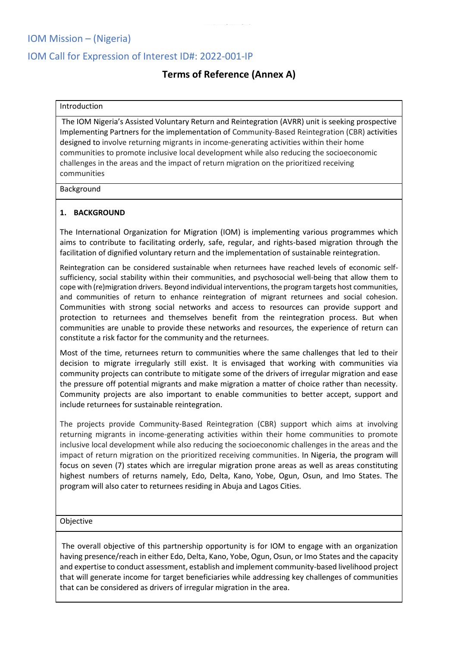# IOM Mission – (Nigeria)

# IOM Call for Expression of Interest ID#: 2022-001-IP

# **Terms of Reference (Annex A)**

# Introduction

The IOM Nigeria's Assisted Voluntary Return and Reintegration (AVRR) unit is seeking prospective Implementing Partners for the implementation of Community-Based Reintegration (CBR) activities designed to involve returning migrants in income-generating activities within their home communities to promote inclusive local development while also reducing the socioeconomic challenges in the areas and the impact of return migration on the prioritized receiving communities

#### Background

# **1. BACKGROUND**

The International Organization for Migration (IOM) is implementing various programmes which aims to contribute to facilitating orderly, safe, regular, and rights-based migration through the facilitation of dignified voluntary return and the implementation of sustainable reintegration.

Reintegration can be considered sustainable when returnees have reached levels of economic selfsufficiency, social stability within their communities, and psychosocial well-being that allow them to cope with (re)migration drivers. Beyond individual interventions, the program targets host communities, and communities of return to enhance reintegration of migrant returnees and social cohesion. Communities with strong social networks and access to resources can provide support and protection to returnees and themselves benefit from the reintegration process. But when communities are unable to provide these networks and resources, the experience of return can constitute a risk factor for the community and the returnees.

Most of the time, returnees return to communities where the same challenges that led to their decision to migrate irregularly still exist. It is envisaged that working with communities via community projects can contribute to mitigate some of the drivers of irregular migration and ease the pressure off potential migrants and make migration a matter of choice rather than necessity. Community projects are also important to enable communities to better accept, support and include returnees for sustainable reintegration.

The projects provide Community-Based Reintegration (CBR) support which aims at involving returning migrants in income-generating activities within their home communities to promote inclusive local development while also reducing the socioeconomic challenges in the areas and the impact of return migration on the prioritized receiving communities. In Nigeria, the program will focus on seven (7) states which are irregular migration prone areas as well as areas constituting highest numbers of returns namely, Edo, Delta, Kano, Yobe, Ogun, Osun, and Imo States. The program will also cater to returnees residing in Abuja and Lagos Cities.

## Objective

The overall objective of this partnership opportunity is for IOM to engage with an organization having presence/reach in either Edo, Delta, Kano, Yobe, Ogun, Osun, or Imo States and the capacity and expertise to conduct assessment, establish and implement community-based livelihood project that will generate income for target beneficiaries while addressing key challenges of communities that can be considered as drivers of irregular migration in the area.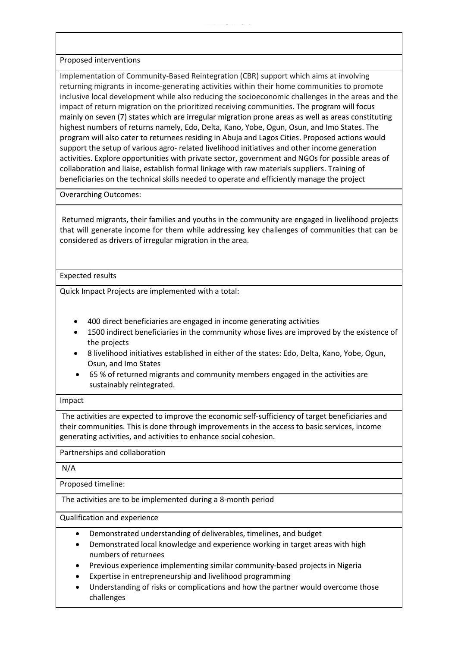Proposed interventions

Implementation of Community-Based Reintegration (CBR) support which aims at involving returning migrants in income-generating activities within their home communities to promote inclusive local development while also reducing the socioeconomic challenges in the areas and the impact of return migration on the prioritized receiving communities. The program will focus mainly on seven (7) states which are irregular migration prone areas as well as areas constituting highest numbers of returns namely, Edo, Delta, Kano, Yobe, Ogun, Osun, and Imo States. The program will also cater to returnees residing in Abuja and Lagos Cities. Proposed actions would support the setup of various agro- related livelihood initiatives and other income generation activities. Explore opportunities with private sector, government and NGOs for possible areas of collaboration and liaise, establish formal linkage with raw materials suppliers. Training of beneficiaries on the technical skills needed to operate and efficiently manage the project

Overarching Outcomes:

Returned migrants, their families and youths in the community are engaged in livelihood projects that will generate income for them while addressing key challenges of communities that can be considered as drivers of irregular migration in the area.

# Expected results

Quick Impact Projects are implemented with a total:

- 400 direct beneficiaries are engaged in income generating activities
- 1500 indirect beneficiaries in the community whose lives are improved by the existence of the projects
- 8 livelihood initiatives established in either of the states: Edo, Delta, Kano, Yobe, Ogun, Osun, and Imo States
- 65 % of returned migrants and community members engaged in the activities are sustainably reintegrated.

## Impact

The activities are expected to improve the economic self-sufficiency of target beneficiaries and their communities. This is done through improvements in the access to basic services, income generating activities, and activities to enhance social cohesion.

Partnerships and collaboration

N/A

Proposed timeline:

The activities are to be implemented during a 8-month period

Qualification and experience

- Demonstrated understanding of deliverables, timelines, and budget
- Demonstrated local knowledge and experience working in target areas with high numbers of returnees
- Previous experience implementing similar community-based projects in Nigeria
- Expertise in entrepreneurship and livelihood programming
- Understanding of risks or complications and how the partner would overcome those challenges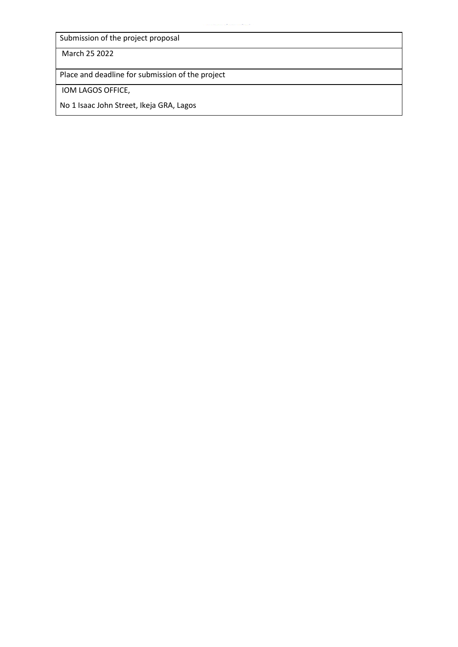Submission of the project proposal

March 25 2022

Place and deadline for submission of the project

IOM LAGOS OFFICE,

No 1 Isaac John Street, Ikeja GRA, Lagos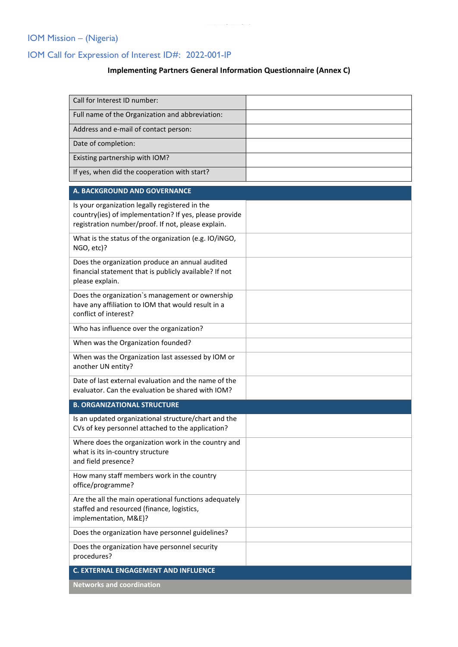# IOM Mission – (Nigeria)

# IOM Call for Expression of Interest ID#: 2022-001-IP

# **Implementing Partners General Information Questionnaire (Annex C)**

| Call for Interest ID number:                                                                                                                                   |  |
|----------------------------------------------------------------------------------------------------------------------------------------------------------------|--|
| Full name of the Organization and abbreviation:                                                                                                                |  |
| Address and e-mail of contact person:                                                                                                                          |  |
| Date of completion:                                                                                                                                            |  |
| Existing partnership with IOM?                                                                                                                                 |  |
| If yes, when did the cooperation with start?                                                                                                                   |  |
| A. BACKGROUND AND GOVERNANCE                                                                                                                                   |  |
| Is your organization legally registered in the<br>country(ies) of implementation? If yes, please provide<br>registration number/proof. If not, please explain. |  |
| What is the status of the organization (e.g. IO/iNGO,<br>NGO, etc)?                                                                                            |  |
| Does the organization produce an annual audited<br>financial statement that is publicly available? If not<br>please explain.                                   |  |
| Does the organization's management or ownership<br>have any affiliation to IOM that would result in a<br>conflict of interest?                                 |  |
| Who has influence over the organization?                                                                                                                       |  |
| When was the Organization founded?                                                                                                                             |  |
| When was the Organization last assessed by IOM or<br>another UN entity?                                                                                        |  |
| Date of last external evaluation and the name of the<br>evaluator. Can the evaluation be shared with IOM?                                                      |  |
| <b>B. ORGANIZATIONAL STRUCTURE</b>                                                                                                                             |  |
| Is an updated organizational structure/chart and the<br>CVs of key personnel attached to the application?                                                      |  |
| Where does the organization work in the country and<br>what is its in-country structure<br>and field presence?                                                 |  |
| How many staff members work in the country<br>office/programme?                                                                                                |  |
| Are the all the main operational functions adequately<br>staffed and resourced (finance, logistics,<br>implementation, M&E)?                                   |  |
| Does the organization have personnel guidelines?                                                                                                               |  |
| Does the organization have personnel security<br>procedures?                                                                                                   |  |
| C. EXTERNAL ENGAGEMENT AND INFLUENCE                                                                                                                           |  |

**Networks and coordination**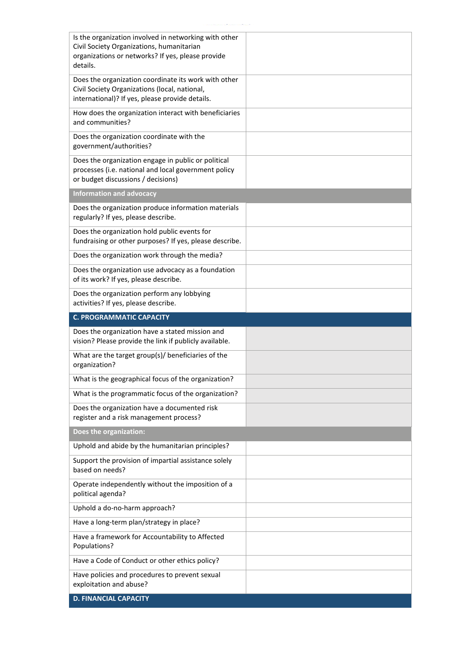| Is the organization involved in networking with other<br>Civil Society Organizations, humanitarian<br>organizations or networks? If yes, please provide<br>details. |  |
|---------------------------------------------------------------------------------------------------------------------------------------------------------------------|--|
| Does the organization coordinate its work with other<br>Civil Society Organizations (local, national,<br>international)? If yes, please provide details.            |  |
| How does the organization interact with beneficiaries<br>and communities?                                                                                           |  |
| Does the organization coordinate with the<br>government/authorities?                                                                                                |  |
| Does the organization engage in public or political<br>processes (i.e. national and local government policy<br>or budget discussions / decisions)                   |  |
| <b>Information and advocacy</b>                                                                                                                                     |  |
| Does the organization produce information materials<br>regularly? If yes, please describe.                                                                          |  |
| Does the organization hold public events for<br>fundraising or other purposes? If yes, please describe.                                                             |  |
| Does the organization work through the media?                                                                                                                       |  |
| Does the organization use advocacy as a foundation<br>of its work? If yes, please describe.                                                                         |  |
| Does the organization perform any lobbying<br>activities? If yes, please describe.                                                                                  |  |
|                                                                                                                                                                     |  |
| <b>C. PROGRAMMATIC CAPACITY</b>                                                                                                                                     |  |
| Does the organization have a stated mission and<br>vision? Please provide the link if publicly available.                                                           |  |
| What are the target group(s)/ beneficiaries of the<br>organization?                                                                                                 |  |
| What is the geographical focus of the organization?                                                                                                                 |  |
| What is the programmatic focus of the organization?                                                                                                                 |  |
| Does the organization have a documented risk<br>register and a risk management process?                                                                             |  |
| Does the organization:                                                                                                                                              |  |
| Uphold and abide by the humanitarian principles?                                                                                                                    |  |
| Support the provision of impartial assistance solely<br>based on needs?                                                                                             |  |
| Operate independently without the imposition of a<br>political agenda?                                                                                              |  |
| Uphold a do-no-harm approach?                                                                                                                                       |  |
| Have a long-term plan/strategy in place?                                                                                                                            |  |
| Have a framework for Accountability to Affected<br>Populations?                                                                                                     |  |
| Have a Code of Conduct or other ethics policy?                                                                                                                      |  |
| Have policies and procedures to prevent sexual<br>exploitation and abuse?                                                                                           |  |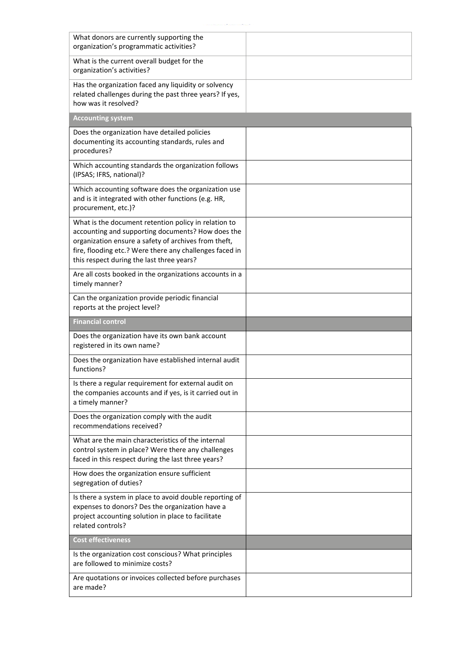| What donors are currently supporting the<br>organization's programmatic activities?                                                                                                                                                                                       |  |
|---------------------------------------------------------------------------------------------------------------------------------------------------------------------------------------------------------------------------------------------------------------------------|--|
| What is the current overall budget for the<br>organization's activities?                                                                                                                                                                                                  |  |
| Has the organization faced any liquidity or solvency<br>related challenges during the past three years? If yes,<br>how was it resolved?                                                                                                                                   |  |
| <b>Accounting system</b>                                                                                                                                                                                                                                                  |  |
| Does the organization have detailed policies<br>documenting its accounting standards, rules and<br>procedures?                                                                                                                                                            |  |
| Which accounting standards the organization follows<br>(IPSAS; IFRS, national)?                                                                                                                                                                                           |  |
| Which accounting software does the organization use<br>and is it integrated with other functions (e.g. HR,<br>procurement, etc.)?                                                                                                                                         |  |
| What is the document retention policy in relation to<br>accounting and supporting documents? How does the<br>organization ensure a safety of archives from theft,<br>fire, flooding etc.? Were there any challenges faced in<br>this respect during the last three years? |  |
| Are all costs booked in the organizations accounts in a<br>timely manner?                                                                                                                                                                                                 |  |
| Can the organization provide periodic financial<br>reports at the project level?                                                                                                                                                                                          |  |
|                                                                                                                                                                                                                                                                           |  |
| <b>Financial control</b>                                                                                                                                                                                                                                                  |  |
| Does the organization have its own bank account<br>registered in its own name?                                                                                                                                                                                            |  |
| Does the organization have established internal audit<br>functions?                                                                                                                                                                                                       |  |
| Is there a regular requirement for external audit on<br>the companies accounts and if yes, is it carried out in<br>a timely manner?                                                                                                                                       |  |
| Does the organization comply with the audit<br>recommendations received?                                                                                                                                                                                                  |  |
| What are the main characteristics of the internal<br>control system in place? Were there any challenges<br>faced in this respect during the last three years?                                                                                                             |  |
| How does the organization ensure sufficient<br>segregation of duties?                                                                                                                                                                                                     |  |
| Is there a system in place to avoid double reporting of<br>expenses to donors? Des the organization have a<br>project accounting solution in place to facilitate<br>related controls?                                                                                     |  |
| <b>Cost effectiveness</b>                                                                                                                                                                                                                                                 |  |
| Is the organization cost conscious? What principles<br>are followed to minimize costs?                                                                                                                                                                                    |  |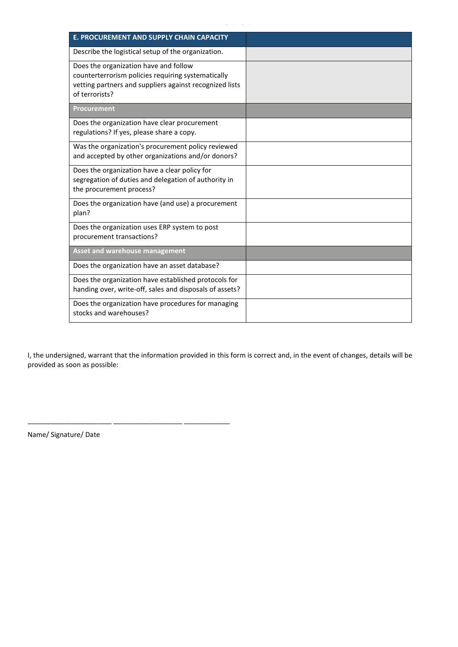| E. PROCUREMENT AND SUPPLY CHAIN CAPACITY                                                                                                                                 |  |
|--------------------------------------------------------------------------------------------------------------------------------------------------------------------------|--|
| Describe the logistical setup of the organization.                                                                                                                       |  |
| Does the organization have and follow<br>counterterrorism policies requiring systematically<br>vetting partners and suppliers against recognized lists<br>of terrorists? |  |
| <b>Procurement</b>                                                                                                                                                       |  |
| Does the organization have clear procurement<br>regulations? If yes, please share a copy.                                                                                |  |
| Was the organization's procurement policy reviewed<br>and accepted by other organizations and/or donors?                                                                 |  |
| Does the organization have a clear policy for<br>segregation of duties and delegation of authority in<br>the procurement process?                                        |  |
| Does the organization have (and use) a procurement<br>plan?                                                                                                              |  |
| Does the organization uses ERP system to post<br>procurement transactions?                                                                                               |  |
| <b>Asset and warehouse management</b>                                                                                                                                    |  |
| Does the organization have an asset database?                                                                                                                            |  |
| Does the organization have established protocols for<br>handing over, write-off, sales and disposals of assets?                                                          |  |
| Does the organization have procedures for managing<br>stocks and warehouses?                                                                                             |  |

I, the undersigned, warrant that the information provided in this form is correct and, in the event of changes, details will be provided as soon as possible:

Name/ Signature/ Date

\_\_\_\_\_\_\_\_\_\_\_\_\_\_\_\_\_\_\_\_\_\_ \_\_\_\_\_\_\_\_\_\_\_\_\_\_\_\_\_\_ \_\_\_\_\_\_\_\_\_\_\_\_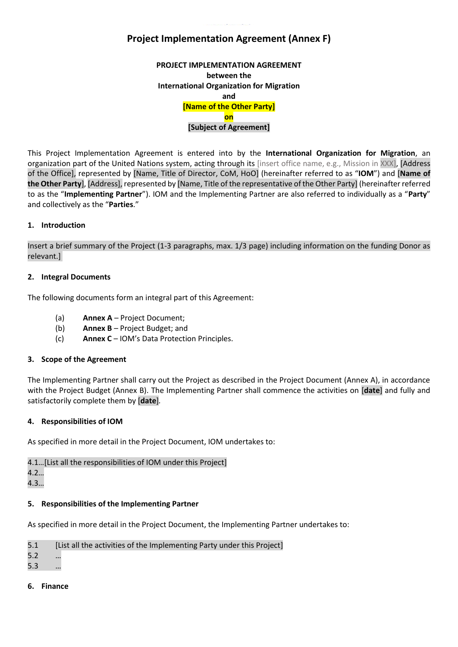# **Project Implementation Agreement (Annex F)**

**PROJECT IMPLEMENTATION AGREEMENT between the International Organization for Migration and [Name of the Other Party] on [Subject of Agreement]**

This Project Implementation Agreement is entered into by the **International Organization for Migration**, an organization part of the United Nations system, acting through its [insert office name, e.g., Mission in XXX], [Address of the Office], represented by [Name, Title of Director, CoM, HoO] (hereinafter referred to as "**IOM**") and [**Name of the Other Party**], [Address], represented by [Name, Title of the representative of the Other Party] (hereinafter referred to as the "**Implementing Partner**"). IOM and the Implementing Partner are also referred to individually as a "**Party**" and collectively as the "**Parties**."

# **1. Introduction**

Insert a brief summary of the Project (1-3 paragraphs, max. 1/3 page) including information on the funding Donor as relevant.]

# **2. Integral Documents**

The following documents form an integral part of this Agreement:

- (a) **Annex A** Project Document;
- (b) **Annex B** Project Budget; and
- (c) **Annex C** IOM's Data Protection Principles.

## **3. Scope of the Agreement**

The Implementing Partner shall carry out the Project as described in the Project Document (Annex A), in accordance with the Project Budget (Annex B). The Implementing Partner shall commence the activities on [**date**] and fully and satisfactorily complete them by [**date**]*.*

## **4. Responsibilities of IOM**

As specified in more detail in the Project Document, IOM undertakes to:

4.1…[List all the responsibilities of IOM under this Project] 4.2…

4.3…

# **5. Responsibilities of the Implementing Partner**

As specified in more detail in the Project Document, the Implementing Partner undertakes to:

| [List all the activities of the Implementing Party under this Project]<br>5.1 |
|-------------------------------------------------------------------------------|
|-------------------------------------------------------------------------------|

5.2 …

5.3 …

**6. Finance**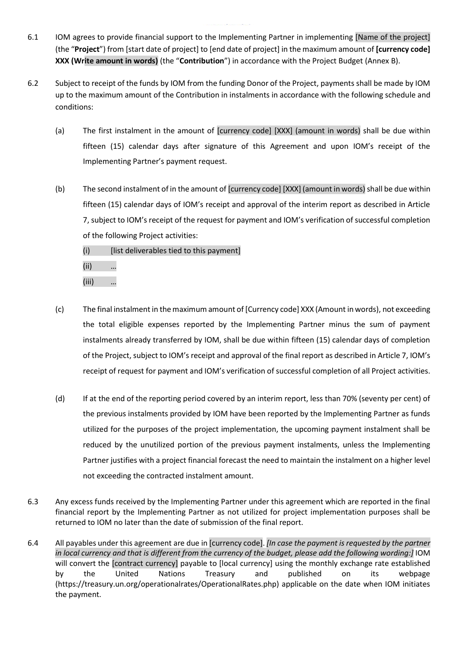- 6.1 IOM agrees to provide financial support to the Implementing Partner in implementing [Name of the project] (the "**Project**") from [start date of project] to [end date of project] in the maximum amount of **[currency code] XXX (Write amount in words)** (the "**Contribution**") in accordance with the Project Budget (Annex B).
- 6.2 Subject to receipt of the funds by IOM from the funding Donor of the Project, payments shall be made by IOM up to the maximum amount of the Contribution in instalments in accordance with the following schedule and conditions:
	- (a) The first instalment in the amount of [currency code] [XXX] (amount in words) shall be due within fifteen (15) calendar days after signature of this Agreement and upon IOM's receipt of the Implementing Partner's payment request.
	- (b) The second instalment of in the amount of [currency code] [XXX] (amount in words) shall be due within fifteen (15) calendar days of IOM's receipt and approval of the interim report as described in Article 7, subject to IOM's receipt of the request for payment and IOM's verification of successful completion of the following Project activities:
		- $(i)$  [list deliverables tied to this payment]
		- (ii) …
		- (iii) …
	- (c) The final instalment in the maximum amount of [Currency code] XXX (Amount in words), not exceeding the total eligible expenses reported by the Implementing Partner minus the sum of payment instalments already transferred by IOM, shall be due within fifteen (15) calendar days of completion of the Project, subject to IOM's receipt and approval of the final report as described in Article 7, IOM's receipt of request for payment and IOM's verification of successful completion of all Project activities.
	- (d) If at the end of the reporting period covered by an interim report, less than 70% (seventy per cent) of the previous instalments provided by IOM have been reported by the Implementing Partner as funds utilized for the purposes of the project implementation, the upcoming payment instalment shall be reduced by the unutilized portion of the previous payment instalments, unless the Implementing Partner justifies with a project financial forecast the need to maintain the instalment on a higher level not exceeding the contracted instalment amount.
- 6.3 Any excess funds received by the Implementing Partner under this agreement which are reported in the final financial report by the Implementing Partner as not utilized for project implementation purposes shall be returned to IOM no later than the date of submission of the final report.
- 6.4 All payables under this agreement are due in [currency code]. *[In case the payment is requested by the partner in local currency and that is different from the currency of the budget, please add the following wording:]* IOM will convert the [contract currency] payable to [local currency] using the monthly exchange rate established by the United Nations Treasury and published on its webpage (https://treasury.un.org/operationalrates/OperationalRates.php) applicable on the date when IOM initiates the payment.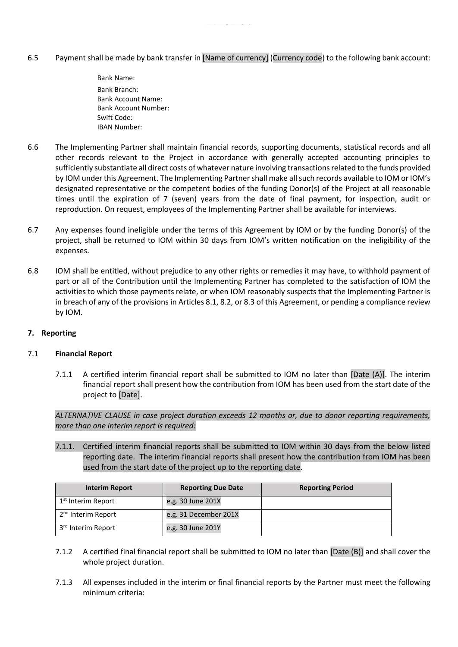- 6.5 Payment shall be made by bank transfer in [Name of currency] (Currency code) to the following bank account:
	- Bank Name: Bank Branch: Bank Account Name: Bank Account Number: Swift Code: IBAN Number:
- 6.6 The Implementing Partner shall maintain financial records, supporting documents, statistical records and all other records relevant to the Project in accordance with generally accepted accounting principles to sufficiently substantiate all direct costs of whatever nature involving transactions related to the funds provided by IOM under this Agreement. The Implementing Partner shall make all such records available to IOM or IOM's designated representative or the competent bodies of the funding Donor(s) of the Project at all reasonable times until the expiration of 7 (seven) years from the date of final payment, for inspection, audit or reproduction. On request, employees of the Implementing Partner shall be available for interviews.
- 6.7 Any expenses found ineligible under the terms of this Agreement by IOM or by the funding Donor(s) of the project, shall be returned to IOM within 30 days from IOM's written notification on the ineligibility of the expenses.
- 6.8 IOM shall be entitled, without prejudice to any other rights or remedies it may have, to withhold payment of part or all of the Contribution until the Implementing Partner has completed to the satisfaction of IOM the activities to which those payments relate, or when IOM reasonably suspects that the Implementing Partner is in breach of any of the provisions in Articles 8.1, 8.2, or 8.3 of this Agreement, or pending a compliance review by IOM.

# **7. Reporting**

# 7.1 **Financial Report**

7.1.1 A certified interim financial report shall be submitted to IOM no later than [Date (A)]. The interim financial report shall present how the contribution from IOM has been used from the start date of the project to [Date].

*ALTERNATIVE CLAUSE in case project duration exceeds 12 months or, due to donor reporting requirements, more than one interim report is required:*

7.1.1. Certified interim financial reports shall be submitted to IOM within 30 days from the below listed reporting date. The interim financial reports shall present how the contribution from IOM has been used from the start date of the project up to the reporting date.

| <b>Interim Report</b>          | <b>Reporting Due Date</b> | <b>Reporting Period</b> |
|--------------------------------|---------------------------|-------------------------|
| 1 <sup>st</sup> Interim Report | e.g. 30 June 201X         |                         |
| 2 <sup>nd</sup> Interim Report | e.g. 31 December 201X     |                         |
| 3 <sup>rd</sup> Interim Report | e.g. 30 June 201Y         |                         |

- 7.1.2 A certified final financial report shall be submitted to IOM no later than [Date (B)] and shall cover the whole project duration.
- 7.1.3 All expenses included in the interim or final financial reports by the Partner must meet the following minimum criteria: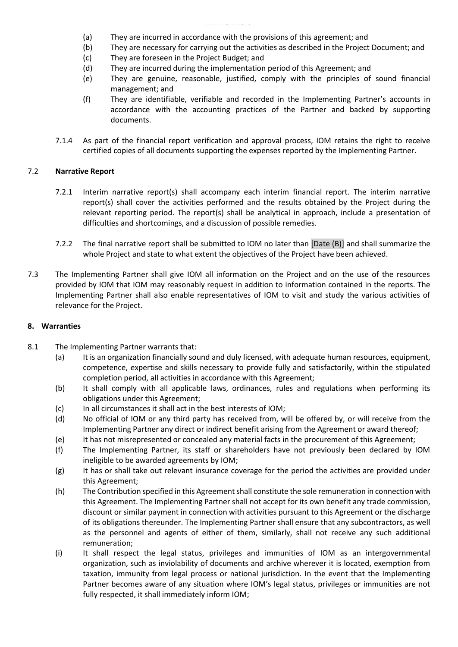- (a) They are incurred in accordance with the provisions of this agreement; and
- (b) They are necessary for carrying out the activities as described in the Project Document; and
- (c) They are foreseen in the Project Budget; and
- (d) They are incurred during the implementation period of this Agreement; and
- (e) They are genuine, reasonable, justified, comply with the principles of sound financial management; and
- (f) They are identifiable, verifiable and recorded in the Implementing Partner's accounts in accordance with the accounting practices of the Partner and backed by supporting documents.
- 7.1.4 As part of the financial report verification and approval process, IOM retains the right to receive certified copies of all documents supporting the expenses reported by the Implementing Partner.

# 7.2 **Narrative Report**

- 7.2.1 Interim narrative report(s) shall accompany each interim financial report. The interim narrative report(s) shall cover the activities performed and the results obtained by the Project during the relevant reporting period. The report(s) shall be analytical in approach, include a presentation of difficulties and shortcomings, and a discussion of possible remedies.
- 7.2.2 The final narrative report shall be submitted to IOM no later than [Date (B)] and shall summarize the whole Project and state to what extent the objectives of the Project have been achieved.
- 7.3 The Implementing Partner shall give IOM all information on the Project and on the use of the resources provided by IOM that IOM may reasonably request in addition to information contained in the reports. The Implementing Partner shall also enable representatives of IOM to visit and study the various activities of relevance for the Project.

## **8. Warranties**

- 8.1 The Implementing Partner warrants that:
	- (a) It is an organization financially sound and duly licensed, with adequate human resources, equipment, competence, expertise and skills necessary to provide fully and satisfactorily, within the stipulated completion period, all activities in accordance with this Agreement;
	- (b) It shall comply with all applicable laws, ordinances, rules and regulations when performing its obligations under this Agreement;
	- (c) In all circumstances it shall act in the best interests of IOM;
	- (d) No official of IOM or any third party has received from, will be offered by, or will receive from the Implementing Partner any direct or indirect benefit arising from the Agreement or award thereof;
	- (e) It has not misrepresented or concealed any material facts in the procurement of this Agreement;
	- (f) The Implementing Partner, its staff or shareholders have not previously been declared by IOM ineligible to be awarded agreements by IOM;
	- (g) It has or shall take out relevant insurance coverage for the period the activities are provided under this Agreement;
	- (h) The Contribution specified in this Agreement shall constitute the sole remuneration in connection with this Agreement. The Implementing Partner shall not accept for its own benefit any trade commission, discount or similar payment in connection with activities pursuant to this Agreement or the discharge of its obligations thereunder. The Implementing Partner shall ensure that any subcontractors, as well as the personnel and agents of either of them, similarly, shall not receive any such additional remuneration;
	- (i) It shall respect the legal status, privileges and immunities of IOM as an intergovernmental organization, such as inviolability of documents and archive wherever it is located, exemption from taxation, immunity from legal process or national jurisdiction. In the event that the Implementing Partner becomes aware of any situation where IOM's legal status, privileges or immunities are not fully respected, it shall immediately inform IOM;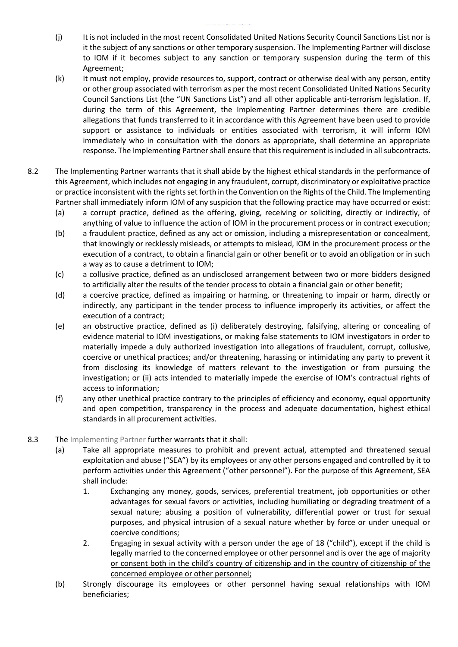- (j) It is not included in the most recent Consolidated United Nations Security Council Sanctions List nor is it the subject of any sanctions or other temporary suspension. The Implementing Partner will disclose to IOM if it becomes subject to any sanction or temporary suspension during the term of this Agreement;
- (k) It must not employ, provide resources to, support, contract or otherwise deal with any person, entity or other group associated with terrorism as per the most recent Consolidated United Nations Security Council Sanctions List (the "UN Sanctions List") and all other applicable anti-terrorism legislation. If, during the term of this Agreement, the Implementing Partner determines there are credible allegations that funds transferred to it in accordance with this Agreement have been used to provide support or assistance to individuals or entities associated with terrorism, it will inform IOM immediately who in consultation with the donors as appropriate, shall determine an appropriate response. The Implementing Partner shall ensure that this requirement is included in all subcontracts.
- 8.2 The Implementing Partner warrants that it shall abide by the highest ethical standards in the performance of this Agreement, which includes not engaging in any fraudulent, corrupt, discriminatory or exploitative practice or practice inconsistent with the rights set forth in the Convention on the Rights of the Child. The Implementing Partner shall immediately inform IOM of any suspicion that the following practice may have occurred or exist:
	- (a) a corrupt practice, defined as the offering, giving, receiving or soliciting, directly or indirectly, of anything of value to influence the action of IOM in the procurement process or in contract execution;
	- (b) a fraudulent practice, defined as any act or omission, including a misrepresentation or concealment, that knowingly or recklessly misleads, or attempts to mislead, IOM in the procurement process or the execution of a contract, to obtain a financial gain or other benefit or to avoid an obligation or in such a way as to cause a detriment to IOM;
	- (c) a collusive practice, defined as an undisclosed arrangement between two or more bidders designed to artificially alter the results of the tender process to obtain a financial gain or other benefit;
	- (d) a coercive practice, defined as impairing or harming, or threatening to impair or harm, directly or indirectly, any participant in the tender process to influence improperly its activities, or affect the execution of a contract;
	- (e) an obstructive practice, defined as (i) deliberately destroying, falsifying, altering or concealing of evidence material to IOM investigations, or making false statements to IOM investigators in order to materially impede a duly authorized investigation into allegations of fraudulent, corrupt, collusive, coercive or unethical practices; and/or threatening, harassing or intimidating any party to prevent it from disclosing its knowledge of matters relevant to the investigation or from pursuing the investigation; or (ii) acts intended to materially impede the exercise of IOM's contractual rights of access to information;
	- (f) any other unethical practice contrary to the principles of efficiency and economy, equal opportunity and open competition, transparency in the process and adequate documentation, highest ethical standards in all procurement activities.
- 8.3 The Implementing Partner further warrants that it shall:
	- (a) Take all appropriate measures to prohibit and prevent actual, attempted and threatened sexual exploitation and abuse ("SEA") by its employees or any other persons engaged and controlled by it to perform activities under this Agreement ("other personnel"). For the purpose of this Agreement, SEA shall include:
		- 1. Exchanging any money, goods, services, preferential treatment, job opportunities or other advantages for sexual favors or activities, including humiliating or degrading treatment of a sexual nature; abusing a position of vulnerability, differential power or trust for sexual purposes, and physical intrusion of a sexual nature whether by force or under unequal or coercive conditions;
		- 2. Engaging in sexual activity with a person under the age of 18 ("child"), except if the child is legally married to the concerned employee or other personnel and is over the age of majority or consent both in the child's country of citizenship and in the country of citizenship of the concerned employee or other personnel;
	- (b) Strongly discourage its employees or other personnel having sexual relationships with IOM beneficiaries;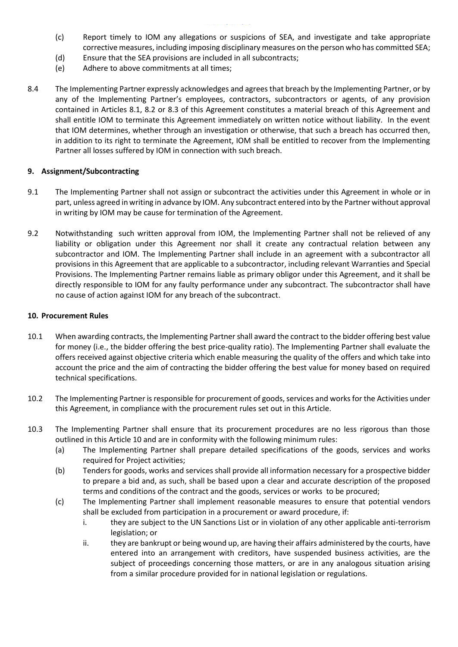- (c) Report timely to IOM any allegations or suspicions of SEA, and investigate and take appropriate corrective measures, including imposing disciplinary measures on the person who has committed SEA;
- (d) Ensure that the SEA provisions are included in all subcontracts;
- (e) Adhere to above commitments at all times;
- 8.4 The Implementing Partner expressly acknowledges and agrees that breach by the Implementing Partner, or by any of the Implementing Partner's employees, contractors, subcontractors or agents, of any provision contained in Articles 8.1, 8.2 or 8.3 of this Agreement constitutes a material breach of this Agreement and shall entitle IOM to terminate this Agreement immediately on written notice without liability. In the event that IOM determines, whether through an investigation or otherwise, that such a breach has occurred then, in addition to its right to terminate the Agreement, IOM shall be entitled to recover from the Implementing Partner all losses suffered by IOM in connection with such breach.

## **9. Assignment/Subcontracting**

- 9.1 The Implementing Partner shall not assign or subcontract the activities under this Agreement in whole or in part, unless agreed in writing in advance by IOM. Any subcontract entered into by the Partner without approval in writing by IOM may be cause for termination of the Agreement.
- 9.2 Notwithstanding such written approval from IOM, the Implementing Partner shall not be relieved of any liability or obligation under this Agreement nor shall it create any contractual relation between any subcontractor and IOM. The Implementing Partner shall include in an agreement with a subcontractor all provisions in this Agreement that are applicable to a subcontractor, including relevant Warranties and Special Provisions. The Implementing Partner remains liable as primary obligor under this Agreement, and it shall be directly responsible to IOM for any faulty performance under any subcontract. The subcontractor shall have no cause of action against IOM for any breach of the subcontract.

#### **10. Procurement Rules**

- 10.1 When awarding contracts, the Implementing Partner shall award the contract to the bidder offering best value for money (i.e., the bidder offering the best price-quality ratio). The Implementing Partner shall evaluate the offers received against objective criteria which enable measuring the quality of the offers and which take into account the price and the aim of contracting the bidder offering the best value for money based on required technical specifications.
- 10.2 The Implementing Partner is responsible for procurement of goods, services and works for the Activities under this Agreement, in compliance with the procurement rules set out in this Article.
- 10.3 The Implementing Partner shall ensure that its procurement procedures are no less rigorous than those outlined in this Article 10 and are in conformity with the following minimum rules:
	- (a) The Implementing Partner shall prepare detailed specifications of the goods, services and works required for Project activities;
	- (b) Tenders for goods, works and services shall provide all information necessary for a prospective bidder to prepare a bid and, as such, shall be based upon a clear and accurate description of the proposed terms and conditions of the contract and the goods, services or works to be procured;
	- (c) The Implementing Partner shall implement reasonable measures to ensure that potential vendors shall be excluded from participation in a procurement or award procedure, if:
		- i. they are subject to the UN Sanctions List or in violation of any other applicable anti-terrorism legislation; or
		- ii. they are bankrupt or being wound up, are having their affairs administered by the courts, have entered into an arrangement with creditors, have suspended business activities, are the subject of proceedings concerning those matters, or are in any analogous situation arising from a similar procedure provided for in national legislation or regulations.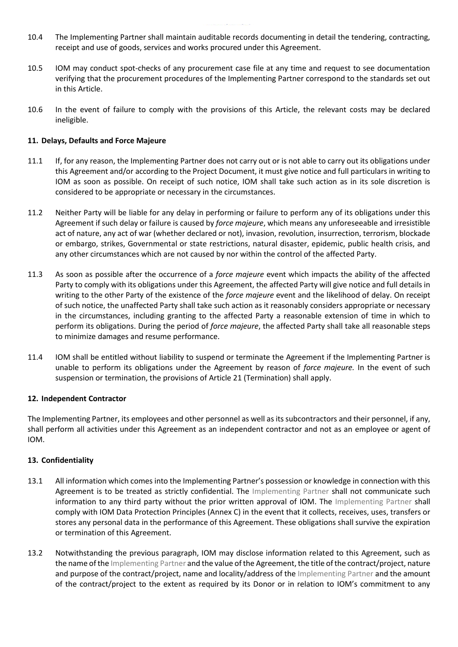- 10.4 The Implementing Partner shall maintain auditable records documenting in detail the tendering, contracting, receipt and use of goods, services and works procured under this Agreement.
- 10.5 IOM may conduct spot-checks of any procurement case file at any time and request to see documentation verifying that the procurement procedures of the Implementing Partner correspond to the standards set out in this Article.
- 10.6 In the event of failure to comply with the provisions of this Article, the relevant costs may be declared ineligible.

# **11. Delays, Defaults and Force Majeure**

- 11.1 If, for any reason, the Implementing Partner does not carry out or is not able to carry out its obligations under this Agreement and/or according to the Project Document, it must give notice and full particulars in writing to IOM as soon as possible. On receipt of such notice, IOM shall take such action as in its sole discretion is considered to be appropriate or necessary in the circumstances.
- 11.2 Neither Party will be liable for any delay in performing or failure to perform any of its obligations under this Agreement if such delay or failure is caused by *force majeure*, which means any unforeseeable and irresistible act of nature, any act of war (whether declared or not), invasion, revolution, insurrection, terrorism, blockade or embargo, strikes, Governmental or state restrictions, natural disaster, epidemic, public health crisis, and any other circumstances which are not caused by nor within the control of the affected Party.
- 11.3 As soon as possible after the occurrence of a *force majeure* event which impacts the ability of the affected Party to comply with its obligations under this Agreement, the affected Party will give notice and full details in writing to the other Party of the existence of the *force majeure* event and the likelihood of delay. On receipt of such notice, the unaffected Party shall take such action as it reasonably considers appropriate or necessary in the circumstances, including granting to the affected Party a reasonable extension of time in which to perform its obligations. During the period of *force majeure*, the affected Party shall take all reasonable steps to minimize damages and resume performance.
- 11.4 IOM shall be entitled without liability to suspend or terminate the Agreement if the Implementing Partner is unable to perform its obligations under the Agreement by reason of *force majeure.* In the event of such suspension or termination, the provisions of Article 21 (Termination) shall apply.

## **12. Independent Contractor**

The Implementing Partner, its employees and other personnel as well as its subcontractors and their personnel, if any, shall perform all activities under this Agreement as an independent contractor and not as an employee or agent of IOM.

## **13. Confidentiality**

- 13.1 All information which comes into the Implementing Partner's possession or knowledge in connection with this Agreement is to be treated as strictly confidential. The Implementing Partner shall not communicate such information to any third party without the prior written approval of IOM. The Implementing Partner shall comply with IOM Data Protection Principles (Annex C) in the event that it collects, receives, uses, transfers or stores any personal data in the performance of this Agreement. These obligations shall survive the expiration or termination of this Agreement.
- 13.2 Notwithstanding the previous paragraph, IOM may disclose information related to this Agreement, such as the name of the Implementing Partner and the value of the Agreement, the title of the contract/project, nature and purpose of the contract/project, name and locality/address of the Implementing Partner and the amount of the contract/project to the extent as required by its Donor or in relation to IOM's commitment to any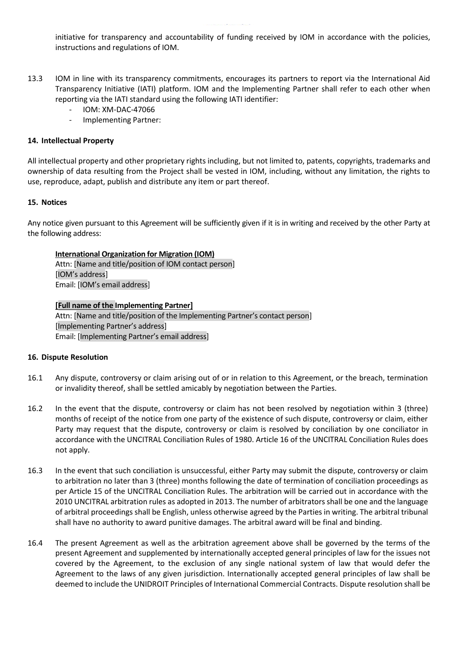initiative for transparency and accountability of funding received by IOM in accordance with the policies, instructions and regulations of IOM.

- 13.3 IOM in line with its transparency commitments, encourages its partners to report via the International Aid Transparency Initiative (IATI) platform. IOM and the Implementing Partner shall refer to each other when reporting via the IATI standard using the following IATI identifier:
	- IOM: XM-DAC-47066
	- Implementing Partner:

## **14. Intellectual Property**

All intellectual property and other proprietary rights including, but not limited to, patents, copyrights, trademarks and ownership of data resulting from the Project shall be vested in IOM, including, without any limitation, the rights to use, reproduce, adapt, publish and distribute any item or part thereof.

#### **15. Notices**

Any notice given pursuant to this Agreement will be sufficiently given if it is in writing and received by the other Party at the following address:

#### **International Organization for Migration (IOM)**

Attn: [Name and title/position of IOM contact person] [IOM's address] Email: [IOM's email address]

# **[Full name of the Implementing Partner]** Attn: [Name and title/position of the Implementing Partner's contact person] [Implementing Partner's address] Email: [Implementing Partner's email address]

## **16. Dispute Resolution**

- 16.1 Any dispute, controversy or claim arising out of or in relation to this Agreement, or the breach, termination or invalidity thereof, shall be settled amicably by negotiation between the Parties.
- 16.2 In the event that the dispute, controversy or claim has not been resolved by negotiation within 3 (three) months of receipt of the notice from one party of the existence of such dispute, controversy or claim, either Party may request that the dispute, controversy or claim is resolved by conciliation by one conciliator in accordance with the UNCITRAL Conciliation Rules of 1980. Article 16 of the UNCITRAL Conciliation Rules does not apply.
- 16.3 In the event that such conciliation is unsuccessful, either Party may submit the dispute, controversy or claim to arbitration no later than 3 (three) months following the date of termination of conciliation proceedings as per Article 15 of the UNCITRAL Conciliation Rules. The arbitration will be carried out in accordance with the 2010 UNCITRAL arbitration rules as adopted in 2013. The number of arbitrators shall be one and the language of arbitral proceedings shall be English, unless otherwise agreed by the Parties in writing. The arbitral tribunal shall have no authority to award punitive damages. The arbitral award will be final and binding.
- 16.4 The present Agreement as well as the arbitration agreement above shall be governed by the terms of the present Agreement and supplemented by internationally accepted general principles of law for the issues not covered by the Agreement, to the exclusion of any single national system of law that would defer the Agreement to the laws of any given jurisdiction. Internationally accepted general principles of law shall be deemed to include the UNIDROIT Principles of International Commercial Contracts. Dispute resolution shall be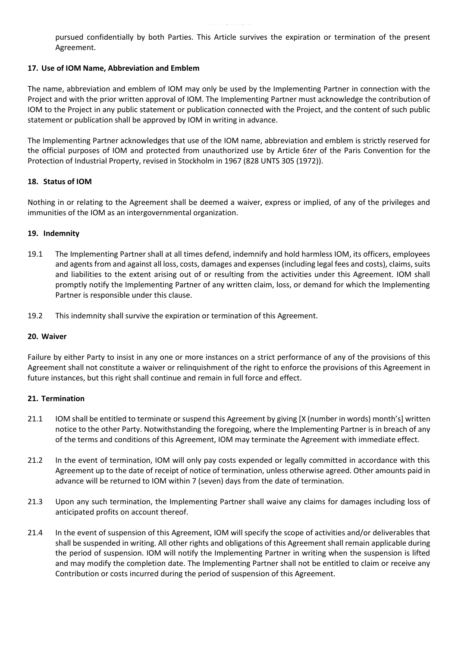pursued confidentially by both Parties. This Article survives the expiration or termination of the present Agreement.

# **17. Use of IOM Name, Abbreviation and Emblem**

The name, abbreviation and emblem of IOM may only be used by the Implementing Partner in connection with the Project and with the prior written approval of IOM. The Implementing Partner must acknowledge the contribution of IOM to the Project in any public statement or publication connected with the Project, and the content of such public statement or publication shall be approved by IOM in writing in advance.

The Implementing Partner acknowledges that use of the IOM name, abbreviation and emblem is strictly reserved for the official purposes of IOM and protected from unauthorized use by Article 6*ter* of the Paris Convention for the Protection of Industrial Property, revised in Stockholm in 1967 (828 UNTS 305 (1972)).

# **18. Status of IOM**

Nothing in or relating to the Agreement shall be deemed a waiver, express or implied, of any of the privileges and immunities of the IOM as an intergovernmental organization.

# **19. Indemnity**

- 19.1 The Implementing Partner shall at all times defend, indemnify and hold harmless IOM, its officers, employees and agents from and against all loss, costs, damages and expenses (including legal fees and costs), claims, suits and liabilities to the extent arising out of or resulting from the activities under this Agreement. IOM shall promptly notify the Implementing Partner of any written claim, loss, or demand for which the Implementing Partner is responsible under this clause.
- 19.2 This indemnity shall survive the expiration or termination of this Agreement.

## **20. Waiver**

Failure by either Party to insist in any one or more instances on a strict performance of any of the provisions of this Agreement shall not constitute a waiver or relinquishment of the right to enforce the provisions of this Agreement in future instances, but this right shall continue and remain in full force and effect.

## **21. Termination**

- 21.1 IOM shall be entitled to terminate or suspend this Agreement by giving [X (number in words) month's] written notice to the other Party. Notwithstanding the foregoing, where the Implementing Partner is in breach of any of the terms and conditions of this Agreement, IOM may terminate the Agreement with immediate effect.
- 21.2 In the event of termination, IOM will only pay costs expended or legally committed in accordance with this Agreement up to the date of receipt of notice of termination, unless otherwise agreed. Other amounts paid in advance will be returned to IOM within 7 (seven) days from the date of termination.
- 21.3 Upon any such termination, the Implementing Partner shall waive any claims for damages including loss of anticipated profits on account thereof.
- 21.4 In the event of suspension of this Agreement, IOM will specify the scope of activities and/or deliverables that shall be suspended in writing. All other rights and obligations of this Agreement shall remain applicable during the period of suspension. IOM will notify the Implementing Partner in writing when the suspension is lifted and may modify the completion date. The Implementing Partner shall not be entitled to claim or receive any Contribution or costs incurred during the period of suspension of this Agreement.